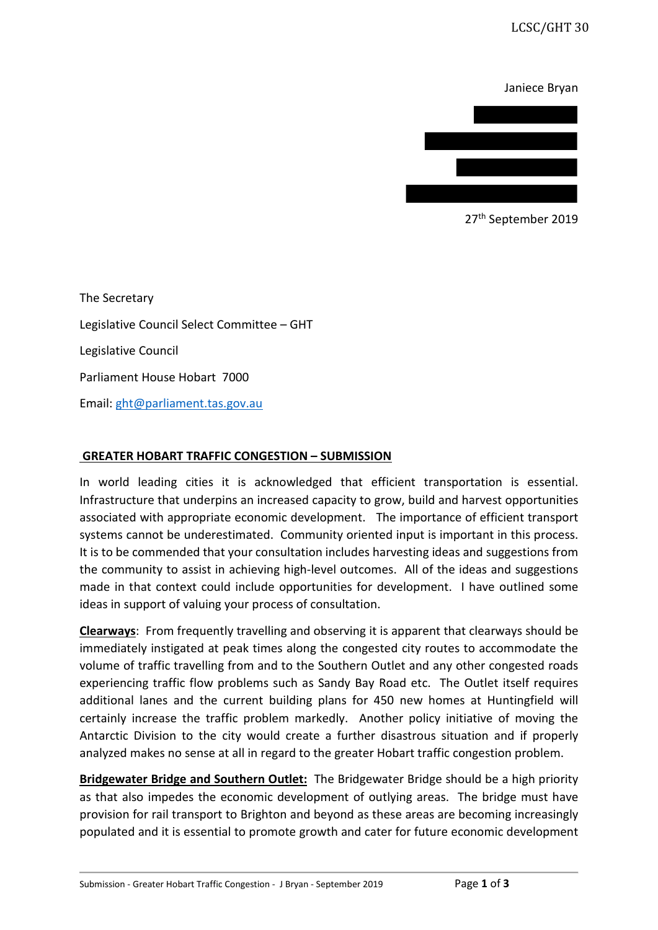Janiece Bryan



27<sup>th</sup> September 2019

The Secretary Legislative Council Select Committee – GHT Legislative Council Parliament House Hobart 7000 Email: [ght@parliament.tas.gov.au](mailto:ght@parliament.tas.gov.au)

## **GREATER HOBART TRAFFIC CONGESTION – SUBMISSION**

In world leading cities it is acknowledged that efficient transportation is essential. Infrastructure that underpins an increased capacity to grow, build and harvest opportunities associated with appropriate economic development. The importance of efficient transport systems cannot be underestimated. Community oriented input is important in this process. It is to be commended that your consultation includes harvesting ideas and suggestions from the community to assist in achieving high-level outcomes. All of the ideas and suggestions made in that context could include opportunities for development. I have outlined some ideas in support of valuing your process of consultation.

**Clearways**: From frequently travelling and observing it is apparent that clearways should be immediately instigated at peak times along the congested city routes to accommodate the volume of traffic travelling from and to the Southern Outlet and any other congested roads experiencing traffic flow problems such as Sandy Bay Road etc. The Outlet itself requires additional lanes and the current building plans for 450 new homes at Huntingfield will certainly increase the traffic problem markedly. Another policy initiative of moving the Antarctic Division to the city would create a further disastrous situation and if properly analyzed makes no sense at all in regard to the greater Hobart traffic congestion problem.

**Bridgewater Bridge and Southern Outlet:** The Bridgewater Bridge should be a high priority as that also impedes the economic development of outlying areas. The bridge must have provision for rail transport to Brighton and beyond as these areas are becoming increasingly populated and it is essential to promote growth and cater for future economic development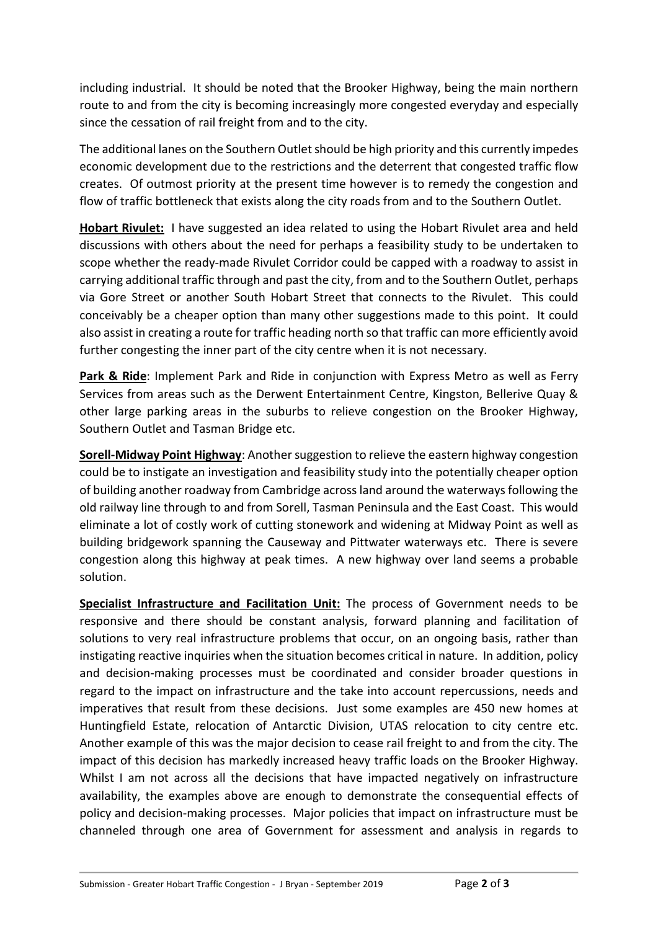including industrial. It should be noted that the Brooker Highway, being the main northern route to and from the city is becoming increasingly more congested everyday and especially since the cessation of rail freight from and to the city.

The additional lanes on the Southern Outlet should be high priority and this currently impedes economic development due to the restrictions and the deterrent that congested traffic flow creates. Of outmost priority at the present time however is to remedy the congestion and flow of traffic bottleneck that exists along the city roads from and to the Southern Outlet.

**Hobart Rivulet:** I have suggested an idea related to using the Hobart Rivulet area and held discussions with others about the need for perhaps a feasibility study to be undertaken to scope whether the ready-made Rivulet Corridor could be capped with a roadway to assist in carrying additional traffic through and past the city, from and to the Southern Outlet, perhaps via Gore Street or another South Hobart Street that connects to the Rivulet. This could conceivably be a cheaper option than many other suggestions made to this point. It could also assist in creating a route for traffic heading north so that traffic can more efficiently avoid further congesting the inner part of the city centre when it is not necessary.

**Park & Ride**: Implement Park and Ride in conjunction with Express Metro as well as Ferry Services from areas such as the Derwent Entertainment Centre, Kingston, Bellerive Quay & other large parking areas in the suburbs to relieve congestion on the Brooker Highway, Southern Outlet and Tasman Bridge etc.

**Sorell-Midway Point Highway**: Another suggestion to relieve the eastern highway congestion could be to instigate an investigation and feasibility study into the potentially cheaper option of building another roadway from Cambridge acrossland around the waterwaysfollowing the old railway line through to and from Sorell, Tasman Peninsula and the East Coast. This would eliminate a lot of costly work of cutting stonework and widening at Midway Point as well as building bridgework spanning the Causeway and Pittwater waterways etc. There is severe congestion along this highway at peak times. A new highway over land seems a probable solution.

**Specialist Infrastructure and Facilitation Unit:** The process of Government needs to be responsive and there should be constant analysis, forward planning and facilitation of solutions to very real infrastructure problems that occur, on an ongoing basis, rather than instigating reactive inquiries when the situation becomes critical in nature. In addition, policy and decision-making processes must be coordinated and consider broader questions in regard to the impact on infrastructure and the take into account repercussions, needs and imperatives that result from these decisions. Just some examples are 450 new homes at Huntingfield Estate, relocation of Antarctic Division, UTAS relocation to city centre etc. Another example of this was the major decision to cease rail freight to and from the city. The impact of this decision has markedly increased heavy traffic loads on the Brooker Highway. Whilst I am not across all the decisions that have impacted negatively on infrastructure availability, the examples above are enough to demonstrate the consequential effects of policy and decision-making processes. Major policies that impact on infrastructure must be channeled through one area of Government for assessment and analysis in regards to